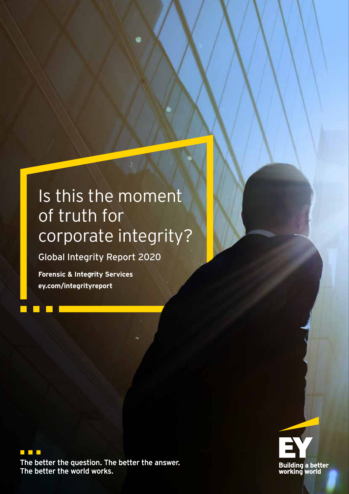# Is this the moment of truth for corporate integrity?

Global Integrity Report 2020

**Forensic & Integrity Services ey.com/integrityreport**



The better the question. The better the answer. The better the world works.

 $\mathbb{R}^n$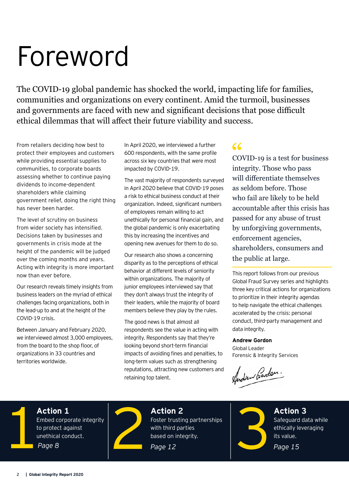# Foreword

The COVID-19 global pandemic has shocked the world, impacting life for families, communities and organizations on every continent. Amid the turmoil, businesses and governments are faced with new and significant decisions that pose difficult ethical dilemmas that will affect their future viability and success.

From retailers deciding how best to protect their employees and customers while providing essential supplies to communities, to corporate boards assessing whether to continue paying dividends to income-dependent shareholders while claiming government relief, doing the right thing has never been harder.

The level of scrutiny on business from wider society has intensified. Decisions taken by businesses and governments in crisis mode at the height of the pandemic will be judged over the coming months and years. Acting with integrity is more important now than ever before.

Our research reveals timely insights from business leaders on the myriad of ethical challenges facing organizations, both in the lead-up to and at the height of the COVID-19 crisis.

Between January and February 2020, we interviewed almost 3,000 employees, from the board to the shop floor, of organizations in 33 countries and territories worldwide.

In April 2020, we interviewed a further 600 respondents, with the same profile across six key countries that were most impacted by COVID-19.

The vast majority of respondents surveyed in April 2020 believe that COVID-19 poses a risk to ethical business conduct at their organization. Indeed, significant numbers of employees remain willing to act unethically for personal financial gain, and the global pandemic is only exacerbating this by increasing the incentives and opening new avenues for them to do so.

Our research also shows a concerning disparity as to the perceptions of ethical behavior at different levels of seniority within organizations. The majority of junior employees interviewed say that they don't always trust the integrity of their leaders, while the majority of board members believe they play by the rules.

The good news is that almost all respondents see the value in acting with integrity. Respondents say that they're looking beyond short-term financial impacts of avoiding fines and penalties, to long-term values such as strengthening reputations, attracting new customers and retaining top talent.

#### $\epsilon$

COVID-19 is a test for business integrity. Those who pass will differentiate themselves as seldom before. Those who fail are likely to be held accountable after this crisis has passed for any abuse of trust by unforgiving governments, enforcement agencies, shareholders, consumers and the public at large.

This report follows from our previous Global Fraud Survey series and highlights three key critical actions for organizations to prioritize in their integrity agendas to help navigate the ethical challenges accelerated by the crisis: personal conduct, third-party management and data integrity.

#### **Andrew Gordon**

Global Leader Forensic & Integrity Services

Andrew Bardon.



**Action 1** Embed corporate integrity to protect against unethical conduct. *Page 8*



**Action 2** Foster trusting partnerships with third parties based on integrity.

*Page 12*



**Action 3** Safeguard data while ethically leveraging its value.

*Page 15*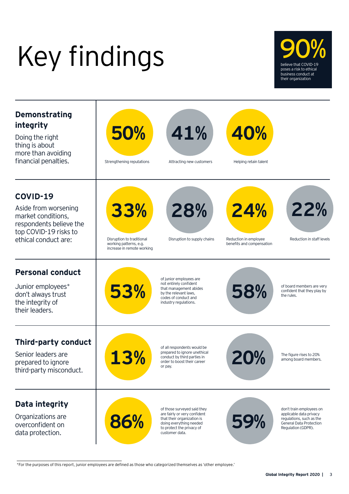# Key findings





\*For the purposes of this report, junior employees are defined as those who categorized themselves as 'other employee.'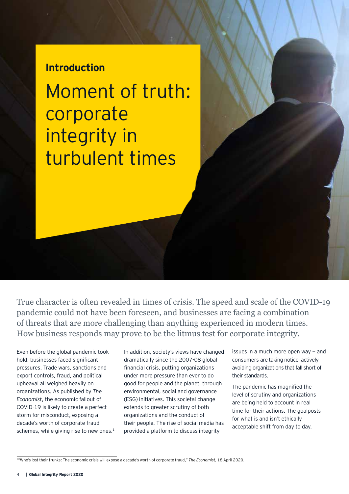#### **Introduction**

Moment of truth: corporate integrity in turbulent times

True character is often revealed in times of crisis. The speed and scale of the COVID-19 pandemic could not have been foreseen, and businesses are facing a combination of threats that are more challenging than anything experienced in modern times. How business responds may prove to be the litmus test for corporate integrity.

Even before the global pandemic took hold, businesses faced significant pressures. Trade wars, sanctions and export controls, fraud, and political upheaval all weighed heavily on organizations. As published by *The Economist*, the economic fallout of COVID-19 is likely to create a perfect storm for misconduct, exposing a decade's worth of corporate fraud schemes, while giving rise to new ones.<sup>1</sup>

In addition, society's views have changed dramatically since the 2007-08 global financial crisis, putting organizations under more pressure than ever to do good for people and the planet, through environmental, social and governance (ESG) initiatives. This societal change extends to greater scrutiny of both organizations and the conduct of their people. The rise of social media has provided a platform to discuss integrity

issues in a much more open way  $-$  and consumers are taking notice, actively avoiding organizations that fall short of their standards.

The pandemic has magnified the level of scrutiny and organizations are being held to account in real time for their actions. The goalposts for what is and isn't ethically acceptable shift from day to day.

<sup>1&</sup>quot;Who's lost their trunks: The economic crisis will expose a decade's worth of corporate fraud," *The Economist*, 18 April 2020.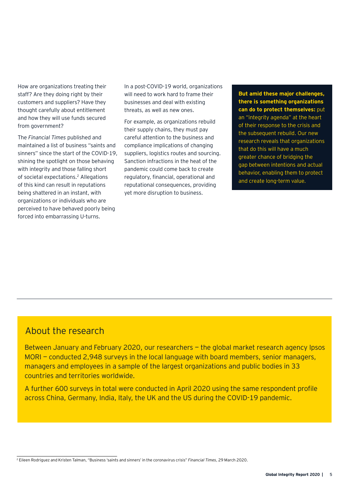How are organizations treating their staff? Are they doing right by their customers and suppliers? Have they thought carefully about entitlement and how they will use funds secured from government?

The *Financial Times* published and maintained a list of business "saints and sinners" since the start of the COVID-19, shining the spotlight on those behaving with integrity and those falling short of societal expectations.2 Allegations of this kind can result in reputations being shattered in an instant, with organizations or individuals who are perceived to have behaved poorly being forced into embarrassing U-turns.

In a post-COVID-19 world, organizations will need to work hard to frame their businesses and deal with existing threats, as well as new ones.

For example, as organizations rebuild their supply chains, they must pay careful attention to the business and compliance implications of changing suppliers, logistics routes and sourcing. Sanction infractions in the heat of the pandemic could come back to create regulatory, financial, operational and reputational consequences, providing yet more disruption to business.

**But amid these major challenges, there is something organizations can do to protect themselves:** put an "integrity agenda" at the heart of their response to the crisis and the subsequent rebuild. Our new research reveals that organizations that do this will have a much greater chance of bridging the gap between intentions and actual behavior, enabling them to protect and create long-term value.

#### About the research

Between January and February 2020, our researchers — the global market research agency Ipsos MORI — conducted 2,948 surveys in the local language with board members, senior managers, managers and employees in a sample of the largest organizations and public bodies in 33 countries and territories worldwide.

A further 600 surveys in total were conducted in April 2020 using the same respondent profile across China, Germany, India, Italy, the UK and the US during the COVID-19 pandemic.

<sup>2</sup> Eileen Rodriguez and Kristen Talman, "Business 'saints and sinners' in the coronavirus crisis" *Financial Times*, 29 March 2020.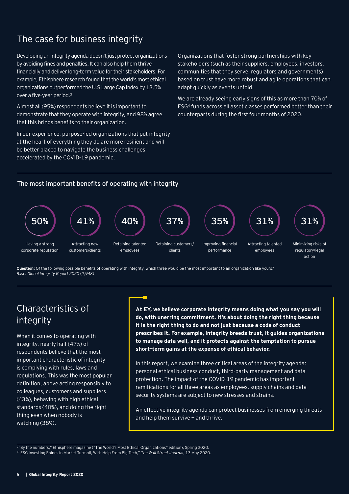#### The case for business integrity

Developing an integrity agenda doesn't just protect organizations by avoiding fines and penalties. It can also help them thrive financially and deliver long-term value for their stakeholders. For example, Ethisphere research found that the world's most ethical organizations outperformed the U.S Large Cap Index by 13.5% over a five-year period.<sup>3</sup>

Almost all (95%) respondents believe it is important to demonstrate that they operate with integrity, and 98% agree that this brings benefits to their organization.

In our experience, purpose-led organizations that put integrity at the heart of everything they do are more resilient and will be better placed to navigate the business challenges accelerated by the COVID-19 pandemic.

Organizations that foster strong partnerships with key stakeholders (such as their suppliers, employees, investors, communities that they serve, regulators and governments) based on trust have more robust and agile operations that can adapt quickly as events unfold.

We are already seeing early signs of this as more than 70% of ESG4 funds across all asset classes performed better than their counterparts during the first four months of 2020.

#### The most important benefits of operating with integrity



**Question:** Of the following possible benefits of operating with integrity, which three would be the most important to an organization like yours? *Base: Global Integrity Report 2020* (*2,948*)

#### Characteristics of integrity

When it comes to operating with integrity, nearly half (47%) of respondents believe that the most important characteristic of integrity is complying with rules, laws and regulations. This was the most popular definition, above acting responsibly to colleagues, customers and suppliers (43%), behaving with high ethical standards (40%), and doing the right thing even when nobody is watching (38%).

**At EY, we believe corporate integrity means doing what you say you will do, with unerring commitment. It's about doing the right thing because it is the right thing to do and not just because a code of conduct prescribes it. For example, integrity breeds trust, it guides organizations to manage data well, and it protects against the temptation to pursue short-term gains at the expense of ethical behavior.** 

In this report, we examine three critical areas of the integrity agenda: personal ethical business conduct, third-party management and data protection. The impact of the COVID-19 pandemic has important ramifications for all three areas as employees, supply chains and data security systems are subject to new stresses and strains.

An effective integrity agenda can protect businesses from emerging threats and help them survive — and thrive.

<sup>3</sup>"By the numbers," Ethisphere magazine ("The World's Most Ethical Organizations" edition), Spring 2020. 4"ESG Investing Shines in Market Turmoil, With Help From Big Tech," *The Wall Street Journal*, 13 May 2020.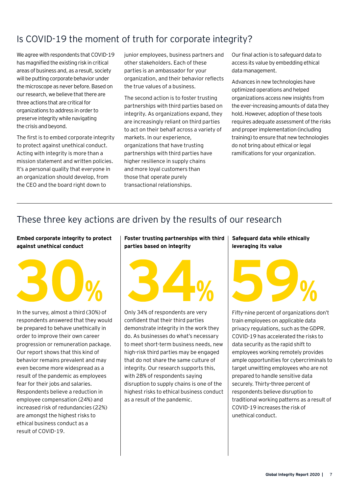#### Is COVID-19 the moment of truth for corporate integrity?

We agree with respondents that COVID-19 has magnified the existing risk in critical areas of business and, as a result, society will be putting corporate behavior under the microscope as never before. Based on our research, we believe that there are three actions that are critical for organizations to address in order to preserve integrity while navigating the crisis and beyond.

The first is to embed corporate integrity to protect against unethical conduct. Acting with integrity is more than a mission statement and written policies. It's a personal quality that everyone in an organization should develop, from the CEO and the board right down to

junior employees, business partners and other stakeholders. Each of these parties is an ambassador for your organization, and their behavior reflects the true values of a business.

The second action is to foster trusting partnerships with third parties based on integrity. As organizations expand, they are increasingly reliant on third parties to act on their behalf across a variety of markets. In our experience, organizations that have trusting partnerships with third parties have higher resilience in supply chains and more loyal customers than those that operate purely transactional relationships.

Our final action is to safeguard data to access its value by embedding ethical data management.

Advances in new technologies have optimized operations and helped organizations access new insights from the ever-increasing amounts of data they hold. However, adoption of these tools requires adequate assessment of the risks and proper implementation (including training) to ensure that new technologies do not bring about ethical or legal ramifications for your organization.

#### These three key actions are driven by the results of our research

#### **Embed corporate integrity to protect against unethical conduct**



In the survey, almost a third (30%) of respondents answered that they would be prepared to behave unethically in order to improve their own career progression or remuneration package. Our report shows that this kind of behavior remains prevalent and may even become more widespread as a result of the pandemic as employees fear for their jobs and salaries. Respondents believe a reduction in employee compensation (24%) and increased risk of redundancies (22%) are amongst the highest risks to ethical business conduct as a result of COVID-19.

#### **Foster trusting partnerships with third parties based on integrity**



Only 34% of respondents are very confident that their third parties demonstrate integrity in the work they do. As businesses do what's necessary to meet short-term business needs, new high-risk third parties may be engaged that do not share the same culture of integrity. Our research supports this, with 28% of respondents saying disruption to supply chains is one of the highest risks to ethical business conduct as a result of the pandemic.

**Safeguard data while ethically leveraging its value**



Fifty-nine percent of organizations don't train employees on applicable data privacy regulations, such as the GDPR. COVID-19 has accelerated the risks to data security as the rapid shift to employees working remotely provides ample opportunities for cybercriminals to target unwitting employees who are not prepared to handle sensitive data securely. Thirty-three percent of respondents believe disruption to traditional working patterns as a result of COVID-19 increases the risk of unethical conduct.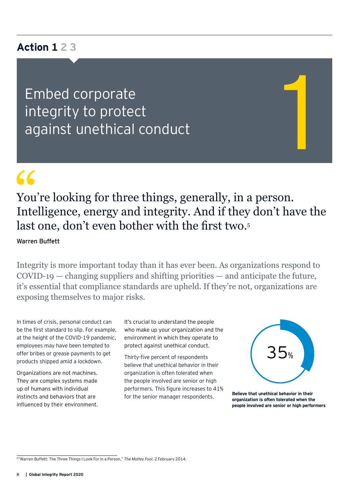#### **Action 1 2 3**

Embed corporate integrity to protect Embed corporate<br>integrity to protect<br>against unethical conduct

# $\epsilon$

You're looking for three things, generally, in a person. Intelligence, energy and integrity. And if they don't have the last one, don't even bother with the first two.<sup>5</sup>

Warren Buffett

Integrity is more important today than it has ever been. As organizations respond to COVID-19 — changing suppliers and shifting priorities — and anticipate the future, it's essential that compliance standards are upheld. If they're not, organizations are exposing themselves to major risks.

In times of crisis, personal conduct can be the first standard to slip. For example, at the height of the COVID-19 pandemic, employees may have been tempted to offer bribes or grease payments to get products shipped amid a lockdown.

Organizations are not machines. They are complex systems made up of humans with individual instincts and behaviors that are influenced by their environment. It's crucial to understand the people who make up your organization and the environment in which they operate to protect against unethical conduct.

Thirty-five percent of respondents believe that unethical behavior in their organization is often tolerated when the people involved are senior or high performers. This figure increases to 41% for the senior manager respondents.



**Believe that unethical behavior in their organization is often tolerated when the people involved are senior or high performers**

<sup>5&</sup>quot;Warren Buffett: The Three Things I Look For in a Person," *The Motley Fool*, 2 February 2014.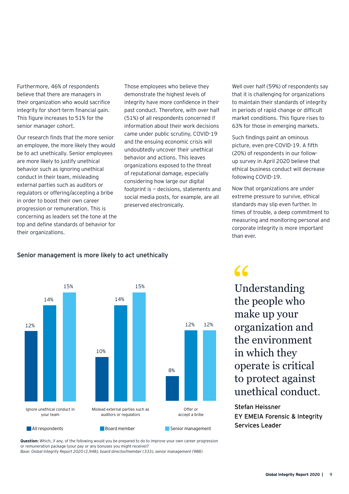Furthermore, 46% of respondents believe that there are managers in their organization who would sacrifice integrity for short-term financial gain. This figure increases to 51% for the senior manager cohort.

Our research finds that the more senior an employee, the more likely they would be to act unethically. Senior employees are more likely to justify unethical behavior such as ignoring unethical conduct in their team, misleading external parties such as auditors or regulators or offering/accepting a bribe in order to boost their own career progression or remuneration. This is concerning as leaders set the tone at the top and define standards of behavior for their organizations.

Those employees who believe they demonstrate the highest levels of integrity have more confidence in their past conduct. Therefore, with over half (51%) of all respondents concerned if information about their work decisions came under public scrutiny, COVID-19 and the ensuing economic crisis will undoubtedly uncover their unethical behavior and actions. This leaves organizations exposed to the threat of reputational damage, especially considering how large our digital footprint is — decisions, statements and social media posts, for example, are all preserved electronically.

Well over half (59%) of respondents say that it is challenging for organizations to maintain their standards of integrity in periods of rapid change or difficult market conditions. This figure rises to 63% for those in emerging markets.

Such findings paint an ominous picture, even pre-COVID-19. A fifth (20%) of respondents in our followup survey in April 2020 believe that ethical business conduct will decrease following COVID-19.

Now that organizations are under extreme pressure to survive, ethical standards may slip even further. In times of trouble, a deep commitment to measuring and monitoring personal and corporate integrity is more important than ever.



#### Senior management is more likely to act unethically

## $66$

Understanding the people who make up your organization and the environment in which they operate is critical to protect against unethical conduct.

Stefan Heissner EY EMEIA Forensic & Integrity Services Leader

**Question:** Which, if any, of the following would you be prepared to do to improve your own career progression or remuneration package (your pay or any bonuses you might receive)? *Base: Global Integrity Report 2020 (2,948), board director/member (333), senior management (988)*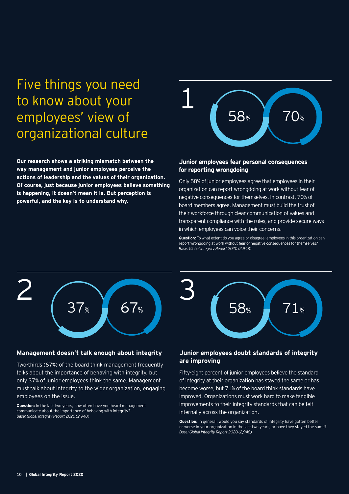## Five things you need to know about your employees' view of organizational culture

**Our research shows a striking mismatch between the way management and junior employees perceive the actions of leadership and the values of their organization.**  actions of leadersnip and the values of their organization.<br>Of course, just because junior employees believe something **is happening, it doesn't mean it is. But perception is powerful, and the key is to understand why.**



#### **Junior employees fear personal consequences for reporting wrongdoing**

Only 58% of junior employees agree that employees in their 2 2 organization can report wrongdoing at work without fear of negative consequences for themselves. In contrast, 70% of board members agree. Management must build the trust of board members agree. Management must build the trust of<br>their workforce through clear communication of values and transparent compliance with the rules, and provide secure ways in which employees can voice their concerns.

**Question:** To what extent do you agree or disagree: employees in this organization can report wrongdoing at work without fear of negative consequences for themselves? *Base: Global Integrity Report 2020 (2,948)*



#### **Management doesn't talk enough about integrity**

Two-thirds (67%) of the board think management frequently talks about the importance of behaving with integrity, but only 37% of junior employees think the same. Management 3 must talk about integrity to the wider organization, engaging employees on the issue.

**Question:** In the last two years, how often have you heard management<br>communicate about the importance of behaving with integrity? communicate about the importance of behaving with integrity? *Base: Global Integrity Report 2020 (2,948)*



#### **Junior employees doubt standards of integrity are improving**

Fifty-eight percent of junior employees believe the standard become worse, but 71% of the board think standards have<br>improved. Organizations must work hard to make tangible<br>improvements to the initial write standards that are heaft! of integrity at their organization has stayed the same or has become worse, but 71% of the board think standards have improvements to their integrity standards that can be felt internally across the organization.

**Question:** In general, would you say standards of integrity have gotten better or worse in your organization in the last two years, or have they stayed the same? *Base: Global Integrity Report 2020 (2,948)*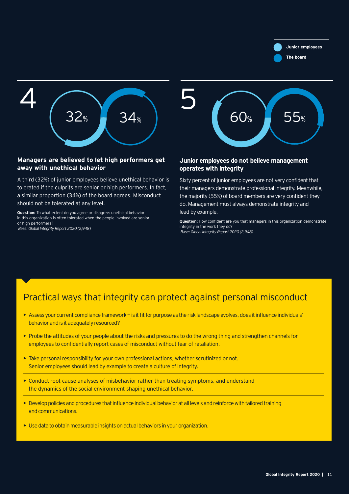34% **Junior employees The board**



#### **Managers are believed to let high performers get away with unethical behavior**

A third (32%) of junior employees believe unethical behavior is tolerated if the culprits are senior or high performers. In fact, a similar proportion (34%) of the board agrees. Misconduct<br>should not be tolerated at any level should not be tolerated at any level. lerد<br>sin (34%) of<br>ted at an

**Question:** To what extent do you agree or disagree: unethical behavior in this organization is often tolerated when the people involved are senior or high performers?

*Base: Global Integrity Report 2020 (2,948)*



#### **Junior employees do not believe management operates with integrity**

Sixty percent of junior employees are not very confident that their managers demonstrate professional integrity. Meanwhile, the majority (55%) of board members are very confident they do. Management must always demonstrate integrity and lead by example.

**Question:** How confident are you that managers in this organization demonstrate integrity in the work they do? *Base: Global Integrity Report 2020 (2,948)*

#### Practical ways that integrity can protect against personal misconduct

- **•** Assess your current compliance framework is it fit for purpose as the risk landscape evolves, does it influence individuals' behavior and is it adequately resourced?
- Probe the attitudes of your people about the risks and pressures to do the wrong thing and strengthen channels for employees to confidentially report cases of misconduct without fear of retaliation.
- Take personal responsibility for your own professional actions, whether scrutinized or not. Senior employees should lead by example to create a culture of integrity.
- Conduct root cause analyses of misbehavior rather than treating symptoms, and understand the dynamics of the social environment shaping unethical behavior.
- Develop policies and procedures that influence individual behavior at all levels and reinforce with tailored training and communications.
- **•** Use data to obtain measurable insights on actual behaviors in your organization.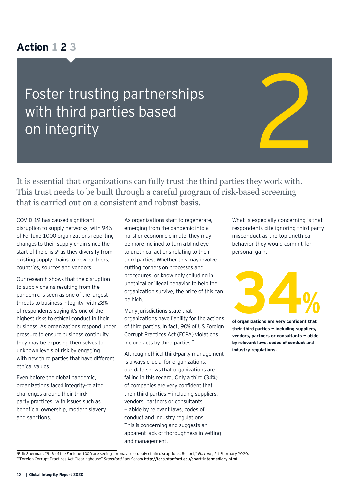#### **Action 1 2 3**

Foster trusting partnerships with third parties based Foster trusting partnerships<br>with third parties based<br>on integrity



It is essential that organizations can fully trust the third parties they work with. This trust needs to be built through a careful program of risk-based screening that is carried out on a consistent and robust basis.

COVID-19 has caused significant disruption to supply networks, with 94% of Fortune 1000 organizations reporting changes to their supply chain since the start of the crisis<sup>6</sup> as they diversify from existing supply chains to new partners, countries, sources and vendors.

Our research shows that the disruption to supply chains resulting from the pandemic is seen as one of the largest threats to business integrity, with 28% of respondents saying it's one of the highest risks to ethical conduct in their business. As organizations respond under pressure to ensure business continuity, they may be exposing themselves to unknown levels of risk by engaging with new third parties that have different ethical values.

Even before the global pandemic, organizations faced integrity-related challenges around their thirdparty practices, with issues such as beneficial ownership, modern slavery and sanctions.

As organizations start to regenerate, emerging from the pandemic into a harsher economic climate, they may be more inclined to turn a blind eye to unethical actions relating to their third parties. Whether this may involve cutting corners on processes and procedures, or knowingly colluding in unethical or illegal behavior to help the organization survive, the price of this can be high.

Many jurisdictions state that organizations have liability for the actions of third parties. In fact, 90% of US Foreign Corrupt Practices Act (FCPA) violations include acts by third parties.7

Although ethical third-party management is always crucial for organizations, our data shows that organizations are failing in this regard. Only a third (34%) of companies are very confident that their third parties  $-$  including suppliers, vendors, partners or consultants — abide by relevant laws, codes of conduct and industry regulations. This is concerning and suggests an apparent lack of thoroughness in vetting and management.

What is especially concerning is that respondents cite ignoring third-party misconduct as the top unethical behavior they would commit for personal gain.



**of organizations are very confident that their third parties — including suppliers, vendors, partners or consultants — abide by relevant laws, codes of conduct and industry regulations.**

<sup>6</sup>Erik Sherman, "94% of the Fortune 1000 are seeing coronavirus supply chain disruptions: Report," *Fortune*, 21 February 2020. 7"Foreign Corrupt Practices Act Clearinghouse" *Standford Law School* http://fcpa.stanford.edu/chart-intermediary.html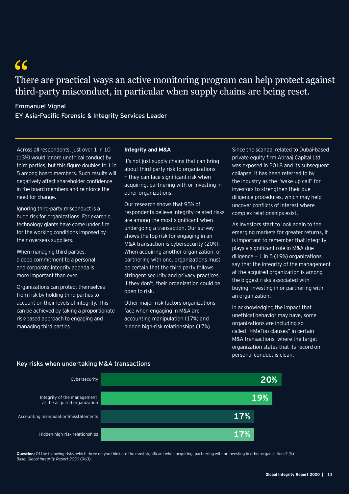$66$ There are practical ways an active monitoring program can help protect against third-party misconduct, in particular when supply chains are being reset.

#### Emmanuel Vignal

EY Asia-Pacific Forensic & Integrity Services Leader

Across all respondents, just over 1 in 10 (13%) would ignore unethical conduct by third parties, but this figure doubles to 1 in 5 among board members. Such results will negatively affect shareholder confidence in the board members and reinforce the need for change.

Ignoring third-party misconduct is a huge risk for organizations. For example, technology giants have come under fire for the working conditions imposed by their overseas suppliers.

When managing third parties, a deep commitment to a personal and corporate integrity agenda is more important than ever.

Organizations can protect themselves from risk by holding third parties to account on their levels of integrity. This can be achieved by taking a proportionate risk-based approach to engaging and managing third parties.

#### **Integrity and M&A**

It's not just supply chains that can bring about third-party risk to organizations — they can face significant risk when acquiring, partnering with or investing in other organizations.

Our research shows that 95% of respondents believe integrity-related risks are among the most significant when undergoing a transaction. Our survey shows the top risk for engaging in an M&A transaction is cybersecurity (20%). When acquiring another organization, or partnering with one, organizations must be certain that the third party follows stringent security and privacy practices. If they don't, their organization could be open to risk.

Other major risk factors organizations face when engaging in M&A are accounting manipulation (17%) and hidden high-risk relationships (17%).

Since the scandal related to Dubai-based private equity firm Abraaj Capital Ltd. was exposed in 2018 and its subsequent collapse, it has been referred to by the industry as the "wake-up call" for investors to strengthen their due diligence procedures, which may help uncover conflicts of interest where complex relationships exist.

As investors start to look again to the emerging markets for greater returns, it is important to remember that integrity plays a significant role in M&A due diligence  $-1$  in 5 (19%) organizations say that the integrity of the management at the acquired organization is among the biggest risks associated with buying, investing in or partnering with an organization.

In acknowledging the impact that unethical behavior may have, some organizations are including socalled "#MeToo clauses" in certain M&A transactions, where the target organization states that its record on personal conduct is clean.



#### Key risks when undertaking M&A transactions

**Question:** Of the following risks, which three do you think are the most significant when acquiring, partnering with or investing in other organizations? (%) *Base: Global Integrity Report 2020* (*963*).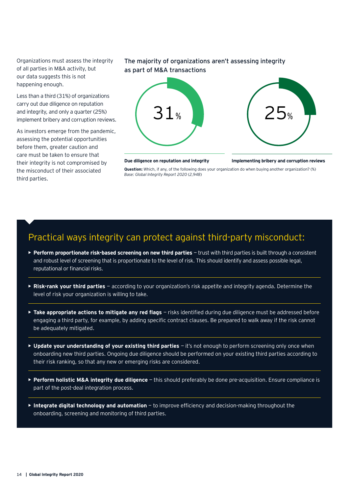Organizations must assess the integrity of all parties in M&A activity, but our data suggests this is not happening enough.

Less than a third (31%) of organizations carry out due diligence on reputation and integrity, and only a quarter (25%) implement bribery and corruption reviews.

As investors emerge from the pandemic, assessing the potential opportunities before them, greater caution and care must be taken to ensure that their integrity is not compromised by the misconduct of their associated third parties.

#### The majority of organizations aren't assessing integrity as part of M&A transactions





#### **Due diligence on reputation and integrity Implementing bribery and corruption reviews**

**Question:** Which, if any, of the following does your organization do when buying another organization? (%) *Base: Global Integrity Report 2020* (*2,948*)

#### Practical ways integrity can protect against third-party misconduct:

- **► Perform proportionate risk-based screening on new third parties trust with third parties is built through a consistent** and robust level of screening that is proportionate to the level of risk. This should identify and assess possible legal, reputational or financial risks.
- **Risk-rank your third parties**  according to your organization's risk appetite and integrity agenda. Determine the level of risk your organization is willing to take.
- **► Take appropriate actions to mitigate any red flags** risks identified during due diligence must be addressed before engaging a third party, for example, by adding specific contract clauses. Be prepared to walk away if the risk cannot be adequately mitigated.
- **Update your understanding of your existing third parties**  it's not enough to perform screening only once when onboarding new third parties. Ongoing due diligence should be performed on your existing third parties according to their risk ranking, so that any new or emerging risks are considered.
- **Perform holistic M&A integrity due diligence** this should preferably be done pre-acquisition. Ensure compliance is part of the post-deal integration process.
- **Integrate digital technology and automation**  to improve efficiency and decision-making throughout the onboarding, screening and monitoring of third parties.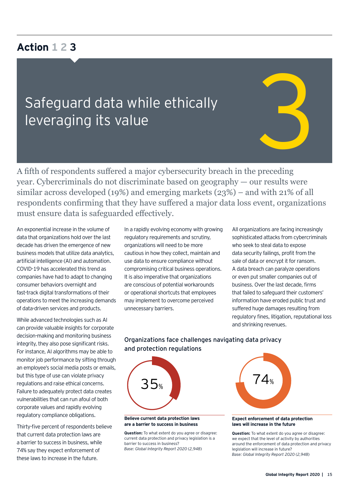#### **Action 1 2 3**

# Safeguard data while ethically Safeguard data while ethically<br>leveraging its value<br>And the same started and the same started and the same started and the same started and the

A fifth of respondents suffered a major cybersecurity breach in the preceding year. Cybercriminals do not discriminate based on geography — our results were similar across developed (19%) and emerging markets (23%) – and with 21% of all respondents confirming that they have suffered a major data loss event, organizations must ensure data is safeguarded effectively.

An exponential increase in the volume of data that organizations hold over the last decade has driven the emergence of new business models that utilize data analytics, artificial intelligence (AI) and automation. COVID-19 has accelerated this trend as companies have had to adapt to changing consumer behaviors overnight and fast-track digital transformations of their operations to meet the increasing demands of data-driven services and products.

While advanced technologies such as AI can provide valuable insights for corporate decision-making and monitoring business integrity, they also pose significant risks. For instance, AI algorithms may be able to monitor job performance by sifting through an employee's social media posts or emails, but this type of use can violate privacy regulations and raise ethical concerns. Failure to adequately protect data creates vulnerabilities that can run afoul of both corporate values and rapidly evolving regulatory compliance obligations.

Thirty-five percent of respondents believe that current data protection laws are a barrier to success in business, while 74% say they expect enforcement of these laws to increase in the future.

In a rapidly evolving economy with growing regulatory requirements and scrutiny, organizations will need to be more cautious in how they collect, maintain and use data to ensure compliance without compromising critical business operations. It is also imperative that organizations are conscious of potential workarounds or operational shortcuts that employees may implement to overcome perceived unnecessary barriers.

All organizations are facing increasingly sophisticated attacks from cybercriminals who seek to steal data to expose data security failings, profit from the sale of data or encrypt it for ransom. A data breach can paralyze operations or even put smaller companies out of business. Over the last decade, firms that failed to safeguard their customers' information have eroded public trust and suffered huge damages resulting from regulatory fines, litigation, reputational loss and shrinking revenues.

#### Organizations face challenges navigating data privacy and protection regulations



#### **Believe current data protection laws are a barrier to success in business**

**Question:** To what extent do you agree or disagree: current data protection and privacy legislation is a barrier to success in business? *Base: Global Integrity Report 2020* (*2,948*)

#### **Expect enforcement of data protection laws will increase in the future**

**Question:** To what extent do you agree or disagree: we expect that the level of activity by authorities around the enforcement of data protection and privacy legislation will increase in future? *Base: Global Integrity Report 2020* (*2,948*)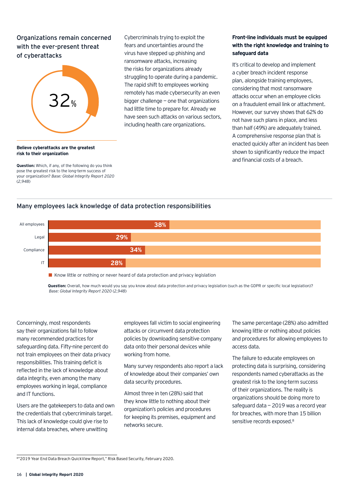#### Organizations remain concerned with the ever-present threat of cyberattacks



#### ransomware attacks, increasing the risks for organizations already struggling to operate during a pandemic. The rapid shift to employees working remotely has made cybersecurity an even bigger challenge — one that organizations had little time to prepare for. Already we have seen such attacks on various sectors, including health care organizations.

Cybercriminals trying to exploit the fears and uncertainties around the virus have stepped up phishing and

#### **Front-line individuals must be equipped with the right knowledge and training to safeguard data**

It's critical to develop and implement a cyber breach incident response plan, alongside training employees, considering that most ransomware attacks occur when an employee clicks on a fraudulent email link or attachment. However, our survey shows that 62% do not have such plans in place, and less than half (49%) are adequately trained. A comprehensive response plan that is enacted quickly after an incident has been shown to significantly reduce the impact and financial costs of a breach.

#### **Believe cyberattacks are the greatest risk to their organization**

**Question:** Which, if any, of the following do you think pose the greatest risk to the long-term success of your organization? *Base: Global Integrity Report 2020* (*2,948*)

#### Many employees lack knowledge of data protection responsibilities



Know little or nothing or never heard of data protection and privacy legislation

**Question:** Overall, how much would you say you know about data protection and privacy legislation (such as the GDPR or specific local legislation)? *Base: Global Integrity Report 2020* (*2,948*)

Concerningly, most respondents say their organizations fail to follow many recommended practices for safeguarding data. Fifty-nine percent do not train employees on their data privacy responsibilities. This training deficit is reflected in the lack of knowledge about data integrity, even among the many employees working in legal, compliance and IT functions.

Users are the gatekeepers to data and own the credentials that cybercriminals target. This lack of knowledge could give rise to internal data breaches, where unwitting

employees fall victim to social engineering attacks or circumvent data protection policies by downloading sensitive company data onto their personal devices while working from home.

Many survey respondents also report a lack of knowledge about their companies' own data security procedures.

Almost three in ten (28%) said that they know little to nothing about their organization's policies and procedures for keeping its premises, equipment and networks secure.

The same percentage (28%) also admitted knowing little or nothing about policies and procedures for allowing employees to access data.

The failure to educate employees on protecting data is surprising, considering respondents named cyberattacks as the greatest risk to the long-term success of their organizations. The reality is organizations should be doing more to safeguard data — 2019 was a record year for breaches, with more than 15 billion sensitive records exposed.<sup>8</sup>

<sup>8&</sup>quot;2019 Year End Data Breach QuickView Report," Risk Based Security, February 2020.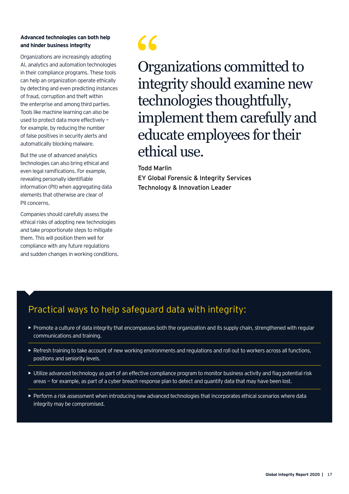#### **Advanced technologies can both help and hinder business integrity**

Organizations are increasingly adopting AI, analytics and automation technologies in their compliance programs. These tools can help an organization operate ethically by detecting and even predicting instances of fraud, corruption and theft within the enterprise and among third parties. Tools like machine learning can also be used to protect data more effectively for example, by reducing the number of false positives in security alerts and automatically blocking malware.

But the use of advanced analytics technologies can also bring ethical and even legal ramifications. For example, revealing personally identifiable information (PII) when aggregating data elements that otherwise are clear of PII concerns.

Companies should carefully assess the ethical risks of adopting new technologies and take proportionate steps to mitigate them. This will position them well for compliance with any future regulations and sudden changes in working conditions.



Organizations committed to integrity should examine new technologies thoughtfully, implement them carefully and educate employees for their ethical use.

Todd Marlin

EY Global Forensic & Integrity Services Technology & Innovation Leader

#### Practical ways to help safeguard data with integrity:

- Promote a culture of data integrity that encompasses both the organization and its supply chain, strengthened with regular communications and training.
- Refresh training to take account of new working environments and regulations and roll out to workers across all functions, positions and seniority levels.
- Utilize advanced technology as part of an effective compliance program to monitor business activity and flag potential risk areas — for example, as part of a cyber breach response plan to detect and quantify data that may have been lost.
- Perform a risk assessment when introducing new advanced technologies that incorporates ethical scenarios where data integrity may be compromised.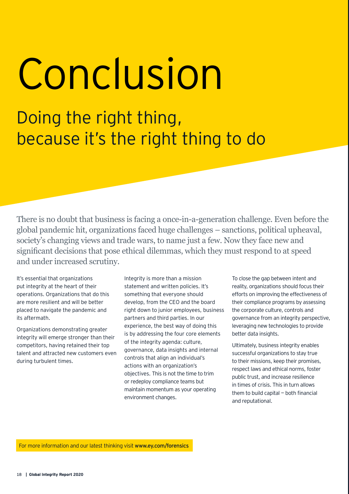Conclusion

Doing the right thing, because it's the right thing to do

There is no doubt that business is facing a once-in-a-generation challenge. Even before the global pandemic hit, organizations faced huge challenges – sanctions, political upheaval, society's changing views and trade wars, to name just a few. Now they face new and significant decisions that pose ethical dilemmas, which they must respond to at speed and under increased scrutiny.

It's essential that organizations put integrity at the heart of their operations. Organizations that do this are more resilient and will be better placed to navigate the pandemic and its aftermath.

Organizations demonstrating greater integrity will emerge stronger than their competitors, having retained their top talent and attracted new customers even during turbulent times.

Integrity is more than a mission statement and written policies. It's something that everyone should develop, from the CEO and the board right down to junior employees, business partners and third parties. In our experience, the best way of doing this is by addressing the four core elements of the integrity agenda: culture, governance, data insights and internal controls that align an individual's actions with an organization's objectives. This is not the time to trim or redeploy compliance teams but maintain momentum as your operating environment changes.

To close the gap between intent and reality, organizations should focus their efforts on improving the effectiveness of their compliance programs by assessing the corporate culture, controls and governance from an integrity perspective, leveraging new technologies to provide better data insights.

Ultimately, business integrity enables successful organizations to stay true to their missions, keep their promises, respect laws and ethical norms, foster public trust, and increase resilience in times of crisis. This in turn allows them to build capital — both financial and reputational.

For more information and our latest thinking visit www.ey.com/forensics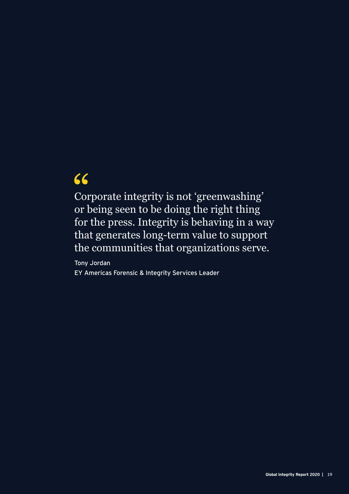## $66$

Corporate integrity is not 'greenwashing' or being seen to be doing the right thing for the press. Integrity is behaving in a way that generates long-term value to support the communities that organizations serve.

Tony Jordan EY Americas Forensic & Integrity Services Leader